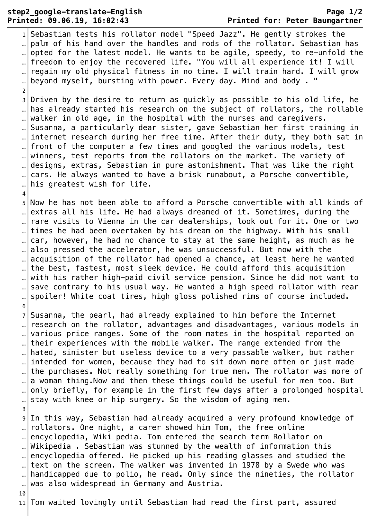## **step2\_google-translate-English Page 1/2 Printed: 09.06.19, 16:02:43 Printed for: Peter Baumgartner**

 $\overline{2}$ 

 $\overline{4}$ 

 $1$ Sebastian tests his rollator model "Speed Jazz". He gently strokes the .  $\Box$  palm of his hand over the handles and rods of the rollator. Sebastian has opted for the latest model. He wants to be agile, speedy, to re-unfold the … freedom to enjoy the recovered life. "You will all experience it! I will regain my old physical fitness in no time. I will train hard. I will grow beyond myself, bursting with power. Every day. Mind and body. "

3 Driven by the desire to return as quickly as possible to his old life, he … has already started his research on the subject of rollators, the rollable walker in old age, in the hospital with the nurses and caregivers. ... Susanna, a particularly dear sister, gave Sebastian her first training in internet research during her free time. After their duty, they both sat in front of the computer a few times and googled the various models, test  $\lbrack \bot \rbrack$  winners, test reports from the rollators on the market. The variety of designs, extras, Sebastian in pure astonishment. That was like the right … cars. He always wanted to have a brisk runabout, a Porsche convertible,  $\mathbb{L}$  his greatest wish for life.

5 Now he has not been able to afford a Porsche convertible with all kinds of  $\Box$  extras all his life. He had always dreamed of it. Sometimes, during the rare visits to Vienna in the car dealerships, look out for it. One or two times he had been overtaken by his dream on the highway. With his small . car, however, he had no chance to stay at the same height, as much as he also pressed the accelerator, he was unsuccessful. But now with the acquisition of the rollator had opened a chance, at least here he wanted the best, fastest, most sleek device. He could afford this acquisition … with his rather high-paid civil service pension. Since he did not want to save contrary to his usual way. He wanted a high speed rollator with rear spoiler! White coat tires, high gloss polished rims of course included. 6 ¬

 $7$  Susanna, the pearl, had already explained to him before the Internet research on the rollator, advantages and disadvantages, various models in  $\mathbb{L}$  various price ranges. Some of the room mates in the hospital reported on … their experiences with the mobile walker. The range extended from the hated, sinister but useless device to a very passable walker, but rather intended for women, because they had to sit down more often or just made … the purchases. Not really something for true men. The rollator was more of a woman thing. Now and then these things could be useful for men too. But only briefly, for example in the first few days after a prolonged hospital  $\|$ stay with knee or hip surgery. So the wisdom of aging men. 8 ¬

9 In this way, Sebastian had already acquired a very profound knowledge of  $\mathbb{L}$  rollators. One night, a carer showed him Tom, the free online encyclopedia, Wiki pedia. Tom entered the search term Rollator on Wikipedia . Sebastian was stunned by the wealth of information this  $\Box$  encyclopedia offered. He picked up his reading glasses and studied the text on the screen. The walker was invented in 1978 by a Swede who was handicapped due to polio, he read. Only since the nineties, the rollator … was also widespread in Germany and Austria.

10

11 Tom waited lovingly until Sebastian had read the first part, assured